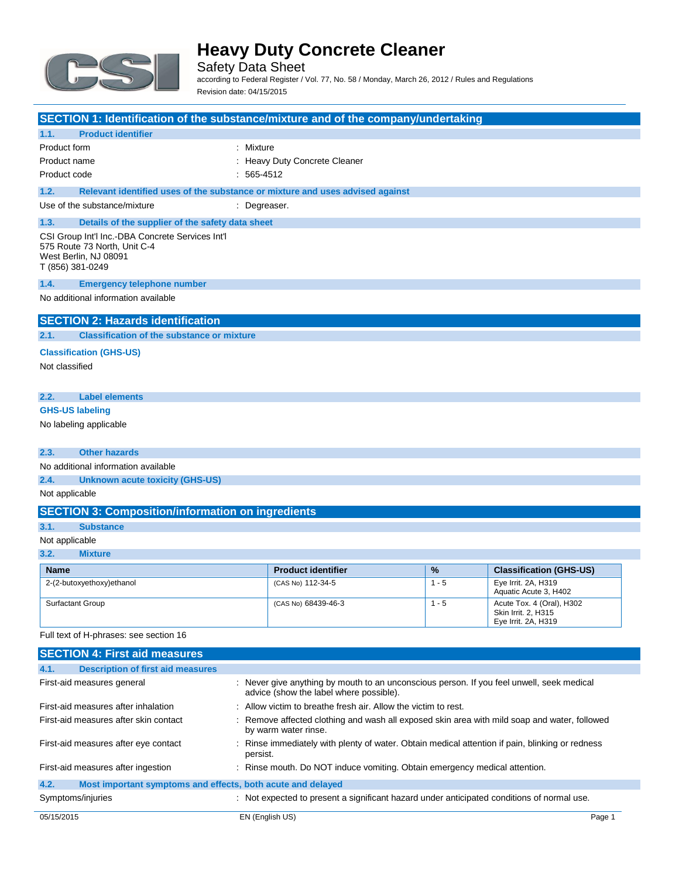

Safety Data Sheet according to Federal Register / Vol. 77, No. 58 / Monday, March 26, 2012 / Rules and Regulations Revision date: 04/15/2015

| SECTION 1: Identification of the substance/mixture and of the company/undertaking                                             |                                    |         |                                |
|-------------------------------------------------------------------------------------------------------------------------------|------------------------------------|---------|--------------------------------|
| 1.1.<br><b>Product identifier</b>                                                                                             |                                    |         |                                |
| Product form<br>: Mixture                                                                                                     |                                    |         |                                |
| Product name                                                                                                                  | <b>Heavy Duty Concrete Cleaner</b> |         |                                |
| Product code<br>$: 565-4512$                                                                                                  |                                    |         |                                |
| 1.2.<br>Relevant identified uses of the substance or mixture and uses advised against                                         |                                    |         |                                |
| Use of the substance/mixture<br>: Degreaser.                                                                                  |                                    |         |                                |
| 1.3.<br>Details of the supplier of the safety data sheet                                                                      |                                    |         |                                |
| CSI Group Int'l Inc.-DBA Concrete Services Int'l<br>575 Route 73 North, Unit C-4<br>West Berlin, NJ 08091<br>T (856) 381-0249 |                                    |         |                                |
| 1.4.<br><b>Emergency telephone number</b>                                                                                     |                                    |         |                                |
| No additional information available                                                                                           |                                    |         |                                |
| <b>SECTION 2: Hazards identification</b>                                                                                      |                                    |         |                                |
| <b>Classification of the substance or mixture</b><br>2.1.                                                                     |                                    |         |                                |
|                                                                                                                               |                                    |         |                                |
| <b>Classification (GHS-US)</b><br>Not classified                                                                              |                                    |         |                                |
|                                                                                                                               |                                    |         |                                |
| <b>Label elements</b><br>2.2.                                                                                                 |                                    |         |                                |
| <b>GHS-US labeling</b>                                                                                                        |                                    |         |                                |
|                                                                                                                               |                                    |         |                                |
| No labeling applicable                                                                                                        |                                    |         |                                |
| 2.3.<br><b>Other hazards</b>                                                                                                  |                                    |         |                                |
| No additional information available                                                                                           |                                    |         |                                |
| 2.4.<br><b>Unknown acute toxicity (GHS-US)</b>                                                                                |                                    |         |                                |
| Not applicable                                                                                                                |                                    |         |                                |
| <b>SECTION 3: Composition/information on ingredients</b>                                                                      |                                    |         |                                |
| 3.1.<br><b>Substance</b>                                                                                                      |                                    |         |                                |
|                                                                                                                               |                                    |         |                                |
| Not applicable<br>3.2.<br><b>Mixture</b>                                                                                      |                                    |         |                                |
|                                                                                                                               |                                    |         |                                |
| <b>Name</b>                                                                                                                   | <b>Product identifier</b>          | %       | <b>Classification (GHS-US)</b> |
| 2-(2-butoxyethoxy)ethanol                                                                                                     | (CAS No) 112-34-5                  | $1 - 5$ | Eye Irrit. 2A, H319            |

| Name                      | <b>Product identifier</b> | $\frac{9}{6}$ | <b>Classification (GHS-US)</b>                                          |
|---------------------------|---------------------------|---------------|-------------------------------------------------------------------------|
| 2-(2-butoxyethoxy)ethanol | (CAS No) 112-34-5         | $1 - 5$       | Eye Irrit. 2A, H319<br>Aquatic Acute 3, H402                            |
| <b>Surfactant Group</b>   | (CAS No) 68439-46-3       | - 5           | Acute Tox. 4 (Oral), H302<br>Skin Irrit, 2, H315<br>Eye Irrit. 2A, H319 |

Full text of H-phrases: see section 16

|            | <b>SECTION 4: First aid measures</b>                        |                                                                                                                                      |  |
|------------|-------------------------------------------------------------|--------------------------------------------------------------------------------------------------------------------------------------|--|
| 4.1.       | <b>Description of first aid measures</b>                    |                                                                                                                                      |  |
|            | First-aid measures general                                  | : Never give anything by mouth to an unconscious person. If you feel unwell, seek medical<br>advice (show the label where possible). |  |
|            | First-aid measures after inhalation                         | : Allow victim to breathe fresh air. Allow the victim to rest.                                                                       |  |
|            | First-aid measures after skin contact                       | : Remove affected clothing and wash all exposed skin area with mild soap and water, followed<br>by warm water rinse.                 |  |
|            | First-aid measures after eye contact                        | : Rinse immediately with plenty of water. Obtain medical attention if pain, blinking or redness<br>persist.                          |  |
|            | First-aid measures after ingestion                          | : Rinse mouth. Do NOT induce vomiting. Obtain emergency medical attention.                                                           |  |
| 4.2.       | Most important symptoms and effects, both acute and delayed |                                                                                                                                      |  |
|            | Symptoms/injuries                                           | : Not expected to present a significant hazard under anticipated conditions of normal use.                                           |  |
| 05/15/2015 |                                                             | EN (English US)<br>Page 1                                                                                                            |  |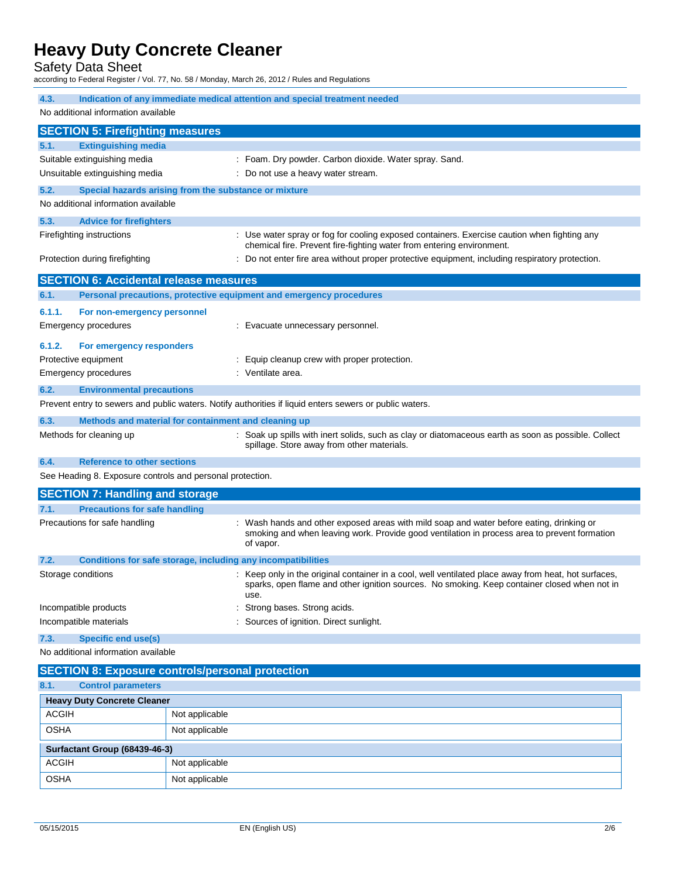Safety Data Sheet

according to Federal Register / Vol. 77, No. 58 / Monday, March 26, 2012 / Rules and Regulations

| 4.3.<br>Indication of any immediate medical attention and special treatment needed<br>No additional information available |                                                                                                                                                                                                   |                                                                                                                                                                                                              |  |
|---------------------------------------------------------------------------------------------------------------------------|---------------------------------------------------------------------------------------------------------------------------------------------------------------------------------------------------|--------------------------------------------------------------------------------------------------------------------------------------------------------------------------------------------------------------|--|
|                                                                                                                           |                                                                                                                                                                                                   |                                                                                                                                                                                                              |  |
|                                                                                                                           | <b>SECTION 5: Firefighting measures</b>                                                                                                                                                           |                                                                                                                                                                                                              |  |
| 5.1.                                                                                                                      | <b>Extinguishing media</b><br>Suitable extinguishing media                                                                                                                                        | Foam. Dry powder. Carbon dioxide. Water spray. Sand.                                                                                                                                                         |  |
|                                                                                                                           | Unsuitable extinguishing media                                                                                                                                                                    | Do not use a heavy water stream.                                                                                                                                                                             |  |
| 5.2.                                                                                                                      |                                                                                                                                                                                                   |                                                                                                                                                                                                              |  |
|                                                                                                                           | No additional information available                                                                                                                                                               | Special hazards arising from the substance or mixture                                                                                                                                                        |  |
|                                                                                                                           |                                                                                                                                                                                                   |                                                                                                                                                                                                              |  |
| 5.3.                                                                                                                      | <b>Advice for firefighters</b>                                                                                                                                                                    |                                                                                                                                                                                                              |  |
|                                                                                                                           | Firefighting instructions<br>: Use water spray or fog for cooling exposed containers. Exercise caution when fighting any<br>chemical fire. Prevent fire-fighting water from entering environment. |                                                                                                                                                                                                              |  |
|                                                                                                                           | Protection during firefighting                                                                                                                                                                    | Do not enter fire area without proper protective equipment, including respiratory protection.                                                                                                                |  |
|                                                                                                                           | <b>SECTION 6: Accidental release measures</b>                                                                                                                                                     |                                                                                                                                                                                                              |  |
| 6.1.                                                                                                                      |                                                                                                                                                                                                   | Personal precautions, protective equipment and emergency procedures                                                                                                                                          |  |
| 6.1.1.                                                                                                                    | For non-emergency personnel                                                                                                                                                                       |                                                                                                                                                                                                              |  |
|                                                                                                                           | Emergency procedures                                                                                                                                                                              | : Evacuate unnecessary personnel.                                                                                                                                                                            |  |
| 6.1.2.                                                                                                                    | For emergency responders                                                                                                                                                                          |                                                                                                                                                                                                              |  |
|                                                                                                                           | Protective equipment                                                                                                                                                                              | : Equip cleanup crew with proper protection.                                                                                                                                                                 |  |
|                                                                                                                           | <b>Emergency procedures</b>                                                                                                                                                                       | : Ventilate area.                                                                                                                                                                                            |  |
| 6.2.                                                                                                                      | <b>Environmental precautions</b>                                                                                                                                                                  |                                                                                                                                                                                                              |  |
|                                                                                                                           |                                                                                                                                                                                                   | Prevent entry to sewers and public waters. Notify authorities if liquid enters sewers or public waters.                                                                                                      |  |
| 6.3.                                                                                                                      |                                                                                                                                                                                                   | Methods and material for containment and cleaning up                                                                                                                                                         |  |
|                                                                                                                           | Methods for cleaning up                                                                                                                                                                           | Soak up spills with inert solids, such as clay or diatomaceous earth as soon as possible. Collect<br>spillage. Store away from other materials.                                                              |  |
| 6.4.                                                                                                                      | <b>Reference to other sections</b>                                                                                                                                                                |                                                                                                                                                                                                              |  |
|                                                                                                                           |                                                                                                                                                                                                   | See Heading 8. Exposure controls and personal protection.                                                                                                                                                    |  |
|                                                                                                                           | <b>SECTION 7: Handling and storage</b>                                                                                                                                                            |                                                                                                                                                                                                              |  |
| 7.1.                                                                                                                      | <b>Precautions for safe handling</b>                                                                                                                                                              |                                                                                                                                                                                                              |  |
|                                                                                                                           | Precautions for safe handling                                                                                                                                                                     | Wash hands and other exposed areas with mild soap and water before eating, drinking or<br>smoking and when leaving work. Provide good ventilation in process area to prevent formation<br>of vapor.          |  |
| 7.2.                                                                                                                      |                                                                                                                                                                                                   | Conditions for safe storage, including any incompatibilities                                                                                                                                                 |  |
|                                                                                                                           | Storage conditions                                                                                                                                                                                | : Keep only in the original container in a cool, well ventilated place away from heat, hot surfaces,<br>sparks, open flame and other ignition sources. No smoking. Keep container closed when not in<br>use. |  |
|                                                                                                                           | Incompatible products                                                                                                                                                                             | Strong bases. Strong acids.                                                                                                                                                                                  |  |
|                                                                                                                           | Incompatible materials                                                                                                                                                                            | Sources of ignition. Direct sunlight.                                                                                                                                                                        |  |
| 7.3.<br><b>Specific end use(s)</b>                                                                                        |                                                                                                                                                                                                   |                                                                                                                                                                                                              |  |
| No additional information available                                                                                       |                                                                                                                                                                                                   |                                                                                                                                                                                                              |  |
| <b>SECTION 8: Exposure controls/personal protection</b>                                                                   |                                                                                                                                                                                                   |                                                                                                                                                                                                              |  |
| 8.1.                                                                                                                      | <b>Control parameters</b>                                                                                                                                                                         |                                                                                                                                                                                                              |  |
| <b>Heavy Duty Concrete Cleaner</b>                                                                                        |                                                                                                                                                                                                   |                                                                                                                                                                                                              |  |
| <b>ACGIH</b>                                                                                                              |                                                                                                                                                                                                   | Not applicable                                                                                                                                                                                               |  |
| <b>OSHA</b>                                                                                                               |                                                                                                                                                                                                   | Not applicable                                                                                                                                                                                               |  |
| Surfactant Group (68439-46-3)                                                                                             |                                                                                                                                                                                                   |                                                                                                                                                                                                              |  |
| <b>ACGIH</b>                                                                                                              |                                                                                                                                                                                                   | Not applicable                                                                                                                                                                                               |  |
| <b>OSHA</b>                                                                                                               |                                                                                                                                                                                                   | Not applicable                                                                                                                                                                                               |  |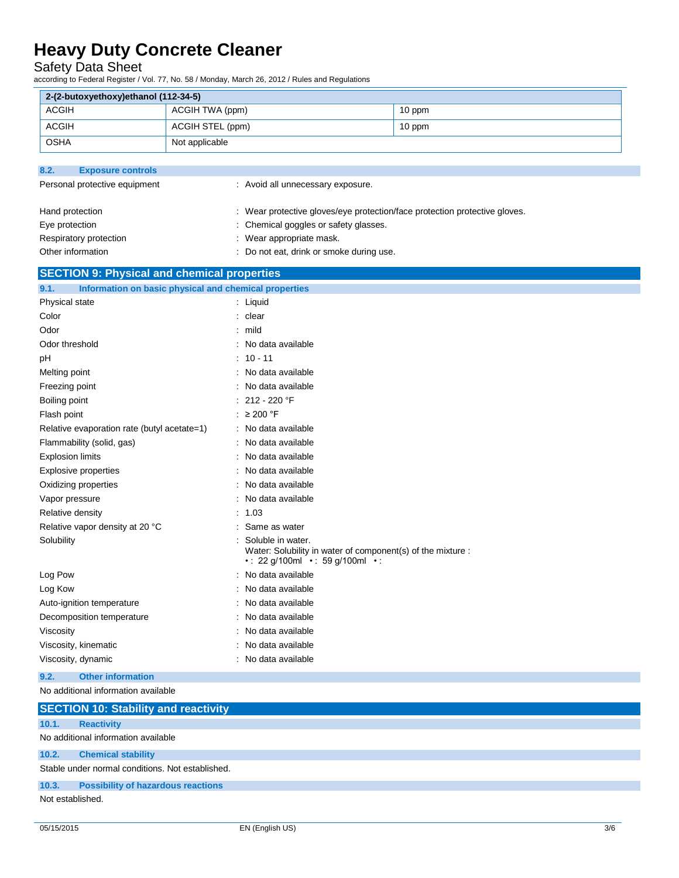## Safety Data Sheet

according to Federal Register / Vol. 77, No. 58 / Monday, March 26, 2012 / Rules and Regulations

| 2-(2-butoxyethoxy)ethanol (112-34-5)                                            |                                                                                                  |        |
|---------------------------------------------------------------------------------|--------------------------------------------------------------------------------------------------|--------|
| <b>ACGIH</b><br>ACGIH TWA (ppm)                                                 |                                                                                                  | 10 ppm |
| <b>ACGIH</b><br>ACGIH STEL (ppm)                                                |                                                                                                  | 10 ppm |
|                                                                                 |                                                                                                  |        |
| <b>OSHA</b><br>Not applicable                                                   |                                                                                                  |        |
| 8.2.                                                                            |                                                                                                  |        |
| <b>Exposure controls</b><br>Personal protective equipment                       | : Avoid all unnecessary exposure.                                                                |        |
|                                                                                 |                                                                                                  |        |
| Hand protection                                                                 | : Wear protective gloves/eye protection/face protection protective gloves.                       |        |
| Eye protection                                                                  | : Chemical goggles or safety glasses.                                                            |        |
| Respiratory protection                                                          | : Wear appropriate mask.                                                                         |        |
| Other information                                                               | : Do not eat, drink or smoke during use.                                                         |        |
| <b>SECTION 9: Physical and chemical properties</b>                              |                                                                                                  |        |
|                                                                                 |                                                                                                  |        |
| 9.1.<br>Information on basic physical and chemical properties<br>Physical state | : Liquid                                                                                         |        |
| Color                                                                           | : clear                                                                                          |        |
| Odor                                                                            | $:$ mild                                                                                         |        |
| Odor threshold                                                                  | : No data available                                                                              |        |
| рH                                                                              | $: 10 - 11$                                                                                      |        |
| Melting point                                                                   | : No data available                                                                              |        |
| Freezing point                                                                  | : No data available                                                                              |        |
| Boiling point                                                                   | : 212 - 220 °F                                                                                   |        |
| Flash point                                                                     | : $\geq 200$ °F                                                                                  |        |
| Relative evaporation rate (butyl acetate=1)                                     | : No data available                                                                              |        |
| Flammability (solid, gas)                                                       | : No data available                                                                              |        |
| <b>Explosion limits</b>                                                         | : No data available                                                                              |        |
| Explosive properties                                                            | : No data available                                                                              |        |
| Oxidizing properties                                                            | : No data available                                                                              |        |
| Vapor pressure                                                                  | : No data available                                                                              |        |
| Relative density                                                                | : 1.03                                                                                           |        |
| Relative vapor density at 20 °C                                                 | Same as water                                                                                    |        |
| Solubility                                                                      | Soluble in water.                                                                                |        |
|                                                                                 | Water: Solubility in water of component(s) of the mixture :<br>• : 22 g/100ml • : 59 g/100ml • : |        |
| Log Pow                                                                         | : No data available                                                                              |        |
| Log Kow                                                                         | : No data available                                                                              |        |
| Auto-ignition temperature                                                       | No data available                                                                                |        |
| Decomposition temperature                                                       | : No data available                                                                              |        |
| Viscosity                                                                       | : No data available                                                                              |        |
| Viscosity, kinematic                                                            | : No data available                                                                              |        |
| Viscosity, dynamic                                                              | : No data available                                                                              |        |
| <b>Other information</b><br>9.2.                                                |                                                                                                  |        |
| No additional information available                                             |                                                                                                  |        |
| <b>SECTION 10: Stability and reactivity</b>                                     |                                                                                                  |        |
| <b>Reactivity</b><br>10.1.                                                      |                                                                                                  |        |
| No additional information available                                             |                                                                                                  |        |
| 10.2.<br><b>Chemical stability</b>                                              |                                                                                                  |        |
| Stable under normal conditions. Not established.                                |                                                                                                  |        |
| <b>Possibility of hazardous reactions</b><br>10.3.                              |                                                                                                  |        |
| Not established.                                                                |                                                                                                  |        |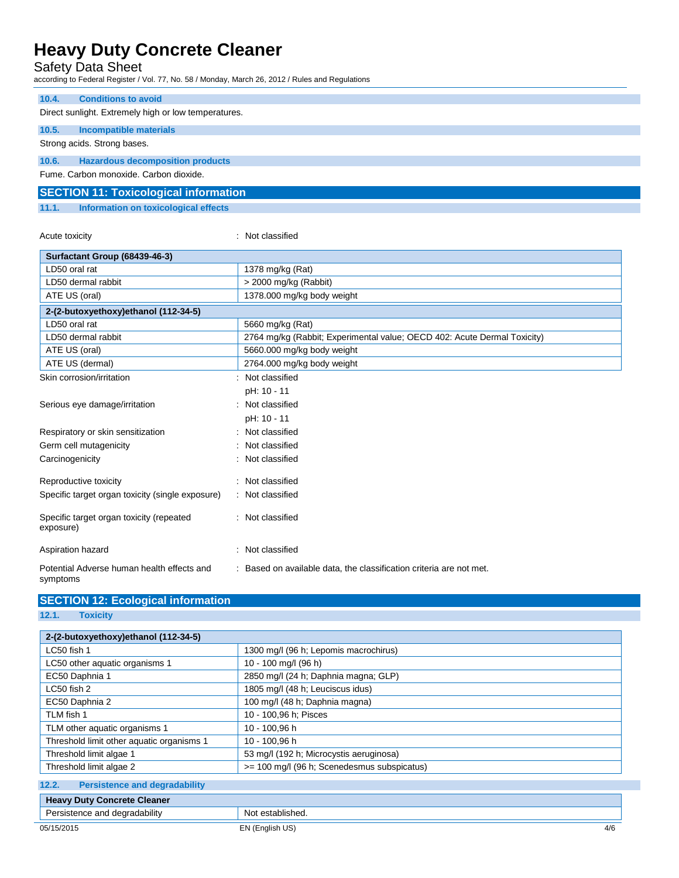## Safety Data Sheet

according to Federal Register / Vol. 77, No. 58 / Monday, March 26, 2012 / Rules and Regulations

| 10.4.                                                | <b>Conditions to avoid</b>                   |  |
|------------------------------------------------------|----------------------------------------------|--|
| Direct sunlight. Extremely high or low temperatures. |                                              |  |
| 10.5.                                                | Incompatible materials                       |  |
|                                                      | Strong acids. Strong bases.                  |  |
| 10.6.                                                | <b>Hazardous decomposition products</b>      |  |
|                                                      | Fume, Carbon monoxide, Carbon dioxide.       |  |
|                                                      | <b>SECTION 11: Toxicological information</b> |  |

**11.1. Information on toxicological effects**

Acute toxicity in the contract of the classified in the classified in the classified in the classified in the contract of the classified in the contract of the contract of the contract of the contract of the contract of th

| Surfactant Group (68439-46-3)                          |                                                                          |
|--------------------------------------------------------|--------------------------------------------------------------------------|
| LD50 oral rat                                          | 1378 mg/kg (Rat)                                                         |
| LD50 dermal rabbit                                     | > 2000 mg/kg (Rabbit)                                                    |
| ATE US (oral)                                          | 1378.000 mg/kg body weight                                               |
| 2-(2-butoxyethoxy)ethanol (112-34-5)                   |                                                                          |
| LD50 oral rat                                          | 5660 mg/kg (Rat)                                                         |
| LD50 dermal rabbit                                     | 2764 mg/kg (Rabbit; Experimental value; OECD 402: Acute Dermal Toxicity) |
| ATE US (oral)                                          | 5660.000 mg/kg body weight                                               |
| ATE US (dermal)                                        | 2764.000 mg/kg body weight                                               |
| Skin corrosion/irritation                              | : Not classified                                                         |
|                                                        | pH: 10 - 11                                                              |
| Serious eye damage/irritation                          | : Not classified                                                         |
|                                                        | pH: 10 - 11                                                              |
| Respiratory or skin sensitization                      | : Not classified                                                         |
| Germ cell mutagenicity                                 | : Not classified                                                         |
| Carcinogenicity                                        | : Not classified                                                         |
| Reproductive toxicity                                  | : Not classified                                                         |
| Specific target organ toxicity (single exposure)       | : Not classified                                                         |
|                                                        |                                                                          |
| Specific target organ toxicity (repeated<br>exposure)  | : Not classified                                                         |
| Aspiration hazard                                      | : Not classified                                                         |
| Potential Adverse human health effects and<br>symptoms | : Based on available data, the classification criteria are not met.      |

## **SECTION 12: Ecological information**

**12.1. Toxicity**

| 2-(2-butoxyethoxy)ethanol (112-34-5)          |                                             |     |
|-----------------------------------------------|---------------------------------------------|-----|
| LC50 fish 1                                   | 1300 mg/l (96 h; Lepomis macrochirus)       |     |
| LC50 other aquatic organisms 1                | 10 - 100 mg/l (96 h)                        |     |
| EC50 Daphnia 1                                | 2850 mg/l (24 h; Daphnia magna; GLP)        |     |
| LC50 fish 2                                   | 1805 mg/l (48 h; Leuciscus idus)            |     |
| EC50 Daphnia 2                                | 100 mg/l (48 h; Daphnia magna)              |     |
| TLM fish 1                                    | 10 - 100,96 h; Pisces                       |     |
| TLM other aquatic organisms 1                 | 10 - 100,96 h                               |     |
| Threshold limit other aquatic organisms 1     | 10 - 100,96 h                               |     |
| Threshold limit algae 1                       | 53 mg/l (192 h; Microcystis aeruginosa)     |     |
| Threshold limit algae 2                       | >= 100 mg/l (96 h; Scenedesmus subspicatus) |     |
| 12.2.<br><b>Persistence and degradability</b> |                                             |     |
| <b>Heavy Duty Concrete Cleaner</b>            |                                             |     |
| Persistence and degradability                 | Not established.                            |     |
| 05/15/2015                                    | EN (English US)                             | 4/6 |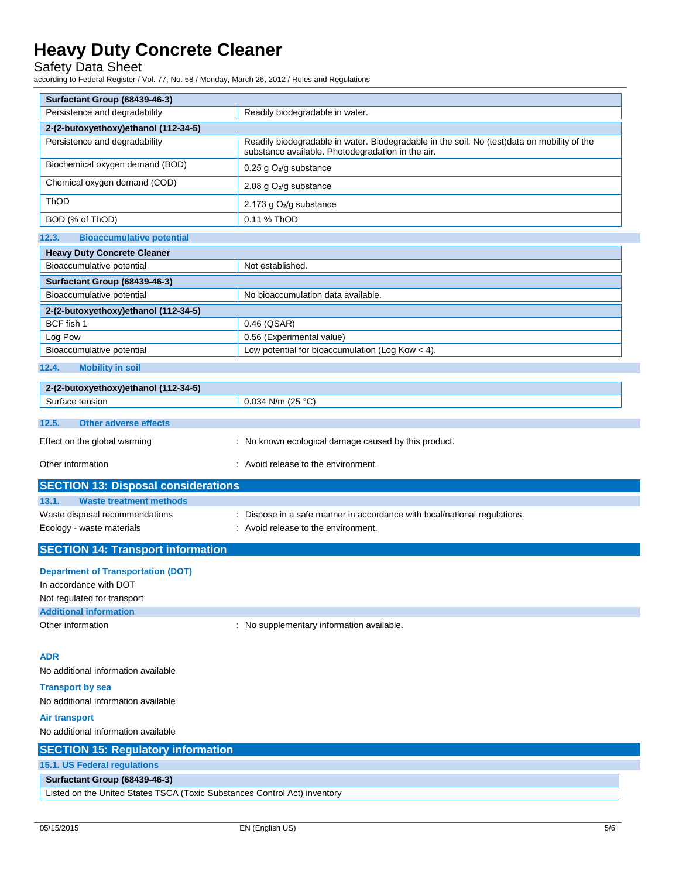Safety Data Sheet

according to Federal Register / Vol. 77, No. 58 / Monday, March 26, 2012 / Rules and Regulations

| Surfactant Group (68439-46-3)                                             |                                                                                                                                                  |
|---------------------------------------------------------------------------|--------------------------------------------------------------------------------------------------------------------------------------------------|
| Persistence and degradability                                             | Readily biodegradable in water.                                                                                                                  |
| 2-(2-butoxyethoxy)ethanol (112-34-5)                                      |                                                                                                                                                  |
| Persistence and degradability                                             | Readily biodegradable in water. Biodegradable in the soil. No (test)data on mobility of the<br>substance available. Photodegradation in the air. |
| Biochemical oxygen demand (BOD)                                           | 0.25 g O <sub>2</sub> /g substance                                                                                                               |
| Chemical oxygen demand (COD)                                              | 2.08 g $O_2$ /g substance                                                                                                                        |
| ThOD                                                                      | 2.173 g O <sub>2</sub> /g substance                                                                                                              |
| BOD (% of ThOD)                                                           | 0.11 % ThOD                                                                                                                                      |
| 12.3.<br><b>Bioaccumulative potential</b>                                 |                                                                                                                                                  |
| <b>Heavy Duty Concrete Cleaner</b>                                        |                                                                                                                                                  |
| Bioaccumulative potential                                                 | Not established.                                                                                                                                 |
| Surfactant Group (68439-46-3)                                             |                                                                                                                                                  |
| Bioaccumulative potential                                                 | No bioaccumulation data available.                                                                                                               |
| 2-(2-butoxyethoxy)ethanol (112-34-5)                                      |                                                                                                                                                  |
| BCF fish 1                                                                | 0.46 (QSAR)                                                                                                                                      |
| Log Pow                                                                   | 0.56 (Experimental value)                                                                                                                        |
| Bioaccumulative potential                                                 | Low potential for bioaccumulation (Log Kow < 4).                                                                                                 |
| 12.4.<br><b>Mobility in soil</b>                                          |                                                                                                                                                  |
| 2-(2-butoxyethoxy)ethanol (112-34-5)                                      |                                                                                                                                                  |
| Surface tension                                                           | 0.034 N/m (25 °C)                                                                                                                                |
| 12.5.<br><b>Other adverse effects</b>                                     |                                                                                                                                                  |
| Effect on the global warming                                              | : No known ecological damage caused by this product.                                                                                             |
| Other information                                                         | : Avoid release to the environment.                                                                                                              |
| <b>SECTION 13: Disposal considerations</b>                                |                                                                                                                                                  |
| 13.1.<br><b>Waste treatment methods</b>                                   |                                                                                                                                                  |
| Waste disposal recommendations                                            | Dispose in a safe manner in accordance with local/national regulations.                                                                          |
| Ecology - waste materials                                                 | : Avoid release to the environment.                                                                                                              |
| <b>SECTION 14: Transport information</b>                                  |                                                                                                                                                  |
| <b>Department of Transportation (DOT)</b>                                 |                                                                                                                                                  |
| In accordance with DOT                                                    |                                                                                                                                                  |
| Not regulated for transport                                               |                                                                                                                                                  |
| <b>Additional information</b>                                             |                                                                                                                                                  |
| Other information                                                         | : No supplementary information available.                                                                                                        |
| <b>ADR</b>                                                                |                                                                                                                                                  |
| No additional information available                                       |                                                                                                                                                  |
| <b>Transport by sea</b>                                                   |                                                                                                                                                  |
| No additional information available                                       |                                                                                                                                                  |
| Air transport                                                             |                                                                                                                                                  |
| No additional information available                                       |                                                                                                                                                  |
| <b>SECTION 15: Regulatory information</b>                                 |                                                                                                                                                  |
| 15.1. US Federal regulations                                              |                                                                                                                                                  |
| Surfactant Group (68439-46-3)                                             |                                                                                                                                                  |
| Listed on the United States TSCA (Toxic Substances Control Act) inventory |                                                                                                                                                  |
|                                                                           |                                                                                                                                                  |